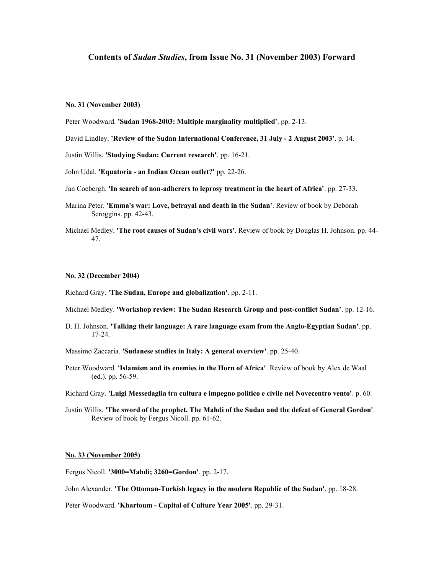# **Contents of** *Sudan Studies***, from Issue No. 31 (November 2003) Forward**

### **No. 31 (November 2003)**

- Peter Woodward. **'Sudan 1968-2003: Multiple marginality multiplied'**. pp. 2-13.
- David Lindley. **'Review of the Sudan International Conference, 31 July 2 August 2003'**. p. 14.
- Justin Willis. **'Studying Sudan: Current research'**. pp. 16-21.
- John Udal. **'Equatoria an Indian Ocean outlet?'** pp. 22-26.
- Jan Coebergh. **'In search of non-adherers to leprosy treatment in the heart of Africa'**. pp. 27-33.
- Marina Peter. **'Emma's war: Love, betrayal and death in the Sudan'**. Review of book by Deborah Scroggins. pp. 42-43.
- Michael Medley. **'The root causes of Sudan's civil wars'**. Review of book by Douglas H. Johnson. pp. 44- 47.

#### **No. 32 (December 2004)**

Richard Gray. **'The Sudan, Europe and globalization'**. pp. 2-11.

- Michael Medley. **'Workshop review: The Sudan Research Group and post-conflict Sudan'**. pp. 12-16.
- D. H. Johnson. **'Talking their language: A rare language exam from the Anglo-Egyptian Sudan'**. pp. 17-24.
- Massimo Zaccaria. **'Sudanese studies in Italy: A general overview'**. pp. 25-40.
- Peter Woodward. **'Islamism and its enemies in the Horn of Africa'**. Review of book by Alex de Waal (ed.). pp. 56-59.
- Richard Gray. **'Luigi Messedaglia tra cultura e impegno politico e civile nel Novecentro vento'**. p. 60.
- Justin Willis. **'The sword of the prophet. The Mahdi of the Sudan and the defeat of General Gordon'**. Review of book by Fergus Nicoll. pp. 61-62.

### **No. 33 (November 2005)**

Fergus Nicoll. **'3000=Mahdi; 3260=Gordon'**. pp. 2-17.

John Alexander. **'The Ottoman-Turkish legacy in the modern Republic of the Sudan'**. pp. 18-28.

Peter Woodward. **'Khartoum - Capital of Culture Year 2005'**. pp. 29-31.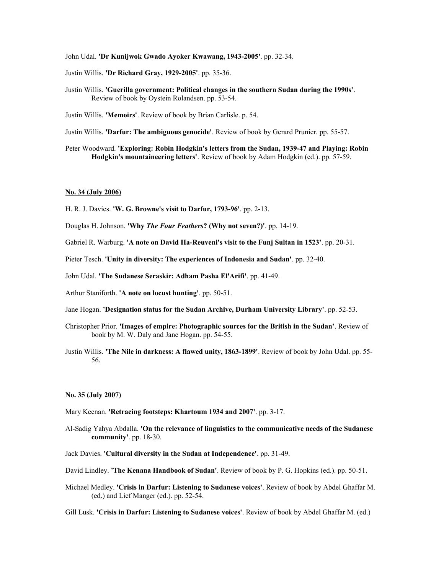John Udal. **'Dr Kunijwok Gwado Ayoker Kwawang, 1943-2005'**. pp. 32-34.

Justin Willis. **'Dr Richard Gray, 1929-2005'**. pp. 35-36.

Justin Willis. **'Guerilla government: Political changes in the southern Sudan during the 1990s'**. Review of book by Oystein Rolandsen. pp. 53-54.

Justin Willis. **'Memoirs'**. Review of book by Brian Carlisle. p. 54.

Justin Willis. **'Darfur: The ambiguous genocide'**. Review of book by Gerard Prunier. pp. 55-57.

Peter Woodward. **'Exploring: Robin Hodgkin's letters from the Sudan, 1939-47 and Playing: Robin Hodgkin's mountaineering letters'**. Review of book by Adam Hodgkin (ed.). pp. 57-59.

## **No. 34 (July 2006)**

H. R. J. Davies. **'W. G. Browne's visit to Darfur, 1793-96'**. pp. 2-13.

Douglas H. Johnson. **'Why** *The Four Feathers***? (Why not seven?)'**. pp. 14-19.

Gabriel R. Warburg. **'A note on David Ha-Reuveni's visit to the Funj Sultan in 1523'**. pp. 20-31.

Pieter Tesch. **'Unity in diversity: The experiences of Indonesia and Sudan'**. pp. 32-40.

John Udal. **'The Sudanese Seraskir: Adham Pasha El'Arifi'**. pp. 41-49.

Arthur Staniforth. **'A note on locust hunting'**. pp. 50-51.

Jane Hogan. **'Designation status for the Sudan Archive, Durham University Library'**. pp. 52-53.

- Christopher Prior. **'Images of empire: Photographic sources for the British in the Sudan'**. Review of book by M. W. Daly and Jane Hogan. pp. 54-55.
- Justin Willis. **'The Nile in darkness: A flawed unity, 1863-1899'**. Review of book by John Udal. pp. 55- 56.

# **No. 35 (July 2007)**

Mary Keenan. **'Retracing footsteps: Khartoum 1934 and 2007'**. pp. 3-17.

Al-Sadig Yahya Abdalla. **'On the relevance of linguistics to the communicative needs of the Sudanese community'**. pp. 18-30.

Jack Davies. **'Cultural diversity in the Sudan at Independence'**. pp. 31-49.

David Lindley. **'The Kenana Handbook of Sudan'**. Review of book by P. G. Hopkins (ed.). pp. 50-51.

Michael Medley. **'Crisis in Darfur: Listening to Sudanese voices'**. Review of book by Abdel Ghaffar M. (ed.) and Lief Manger (ed.). pp. 52-54.

Gill Lusk. **'Crisis in Darfur: Listening to Sudanese voices'**. Review of book by Abdel Ghaffar M. (ed.)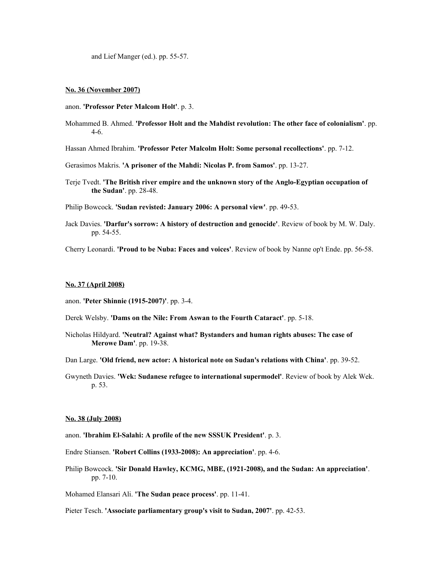and Lief Manger (ed.). pp. 55-57.

## **No. 36 (November 2007)**

- anon. **'Professor Peter Malcom Holt'**. p. 3.
- Mohammed B. Ahmed. **'Professor Holt and the Mahdist revolution: The other face of colonialism'**. pp. 4-6.
- Hassan Ahmed Ibrahim. **'Professor Peter Malcolm Holt: Some personal recollections'**. pp. 7-12.
- Gerasimos Makris. **'A prisoner of the Mahdi: Nicolas P. from Samos'**. pp. 13-27.
- Terje Tvedt. **'The British river empire and the unknown story of the Anglo-Egyptian occupation of the Sudan'**. pp. 28-48.

Philip Bowcock. **'Sudan revisted: January 2006: A personal view'**. pp. 49-53.

Jack Davies. **'Darfur's sorrow: A history of destruction and genocide'**. Review of book by M. W. Daly. pp. 54-55.

Cherry Leonardi. **'Proud to be Nuba: Faces and voices'**. Review of book by Nanne op't Ende. pp. 56-58.

#### **No. 37 (April 2008)**

- anon. **'Peter Shinnie (1915-2007)'**. pp. 3-4.
- Derek Welsby. **'Dams on the Nile: From Aswan to the Fourth Cataract'**. pp. 5-18.
- Nicholas Hildyard. **'Neutral? Against what? Bystanders and human rights abuses: The case of Merowe Dam'**. pp. 19-38.

Dan Large. **'Old friend, new actor: A historical note on Sudan's relations with China'**. pp. 39-52.

Gwyneth Davies. **'Wek: Sudanese refugee to international supermodel'**. Review of book by Alek Wek. p. 53.

# **No. 38 (July 2008)**

- anon. **'Ibrahim El-Salahi: A profile of the new SSSUK President'**. p. 3.
- Endre Stiansen. **'Robert Collins (1933-2008): An appreciation'**. pp. 4-6.
- Philip Bowcock. **'Sir Donald Hawley, KCMG, MBE, (1921-2008), and the Sudan: An appreciation'**. pp. 7-10.

Mohamed Elansari Ali. **'The Sudan peace process'**. pp. 11-41.

Pieter Tesch. **'Associate parliamentary group's visit to Sudan, 2007'**. pp. 42-53.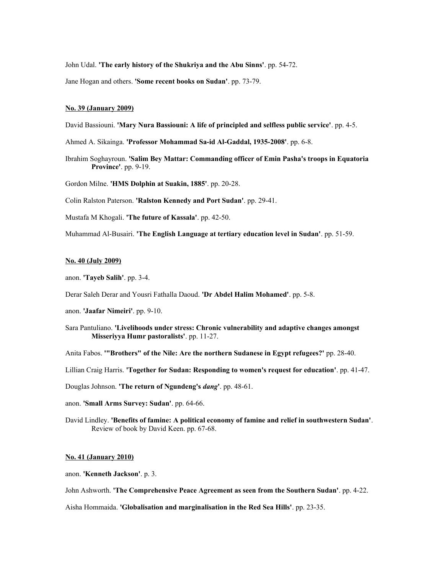John Udal. **'The early history of the Shukriya and the Abu Sinns'**. pp. 54-72.

Jane Hogan and others. **'Some recent books on Sudan'**. pp. 73-79.

#### **No. 39 (January 2009)**

David Bassiouni. **'Mary Nura Bassiouni: A life of principled and selfless public service'**. pp. 4-5.

Ahmed A. Sikainga. **'Professor Mohammad Sa-id Al-Gaddal, 1935-2008'**. pp. 6-8.

Ibrahim Soghayroun. **'Salim Bey Mattar: Commanding officer of Emin Pasha's troops in Equatoria Province'**. pp. 9-19.

Gordon Milne. **'HMS Dolphin at Suakin, 1885'**. pp. 20-28.

Colin Ralston Paterson. **'Ralston Kennedy and Port Sudan'**. pp. 29-41.

Mustafa M Khogali. **'The future of Kassala'**. pp. 42-50.

Muhammad Al-Busairi. **'The English Language at tertiary education level in Sudan'**. pp. 51-59.

#### **No. 40 (July 2009)**

anon. **'Tayeb Salih'**. pp. 3-4.

Derar Saleh Derar and Yousri Fathalla Daoud. **'Dr Abdel Halim Mohamed'**. pp. 5-8.

anon. **'Jaafar Nimeiri'**. pp. 9-10.

Sara Pantuliano. **'Livelihoods under stress: Chronic vulnerability and adaptive changes amongst Misseriyya Humr pastoralists'**. pp. 11-27.

Anita Fabos. **'"Brothers" of the Nile: Are the northern Sudanese in Egypt refugees?'** pp. 28-40.

Lillian Craig Harris. **'Together for Sudan: Responding to women's request for education'**. pp. 41-47.

Douglas Johnson. **'The return of Ngundeng's** *dang***'**. pp. 48-61.

anon. **'Small Arms Survey: Sudan'**. pp. 64-66.

David Lindley. **'Benefits of famine: A political economy of famine and relief in southwestern Sudan'**. Review of book by David Keen. pp. 67-68.

#### **No. 41 (January 2010)**

anon. **'Kenneth Jackson'**. p. 3.

John Ashworth. **'The Comprehensive Peace Agreement as seen from the Southern Sudan'**. pp. 4-22.

Aisha Hommaida. **'Globalisation and marginalisation in the Red Sea Hills'**. pp. 23-35.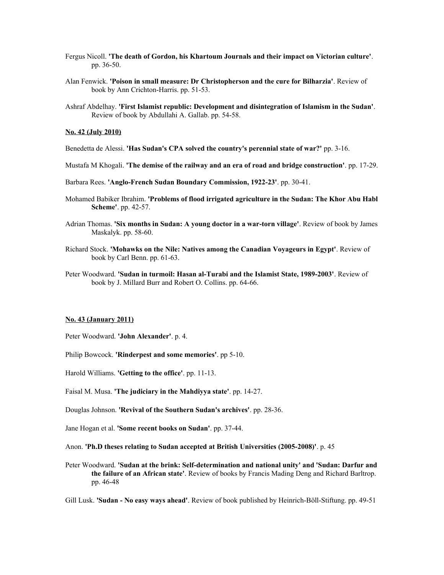- Fergus Nicoll. **'The death of Gordon, his Khartoum Journals and their impact on Victorian culture'**. pp. 36-50.
- Alan Fenwick. **'Poison in small measure: Dr Christopherson and the cure for Bilharzia'**. Review of book by Ann Crichton-Harris. pp. 51-53.
- Ashraf Abdelhay. **'First Islamist republic: Development and disintegration of Islamism in the Sudan'**. Review of book by Abdullahi A. Gallab. pp. 54-58.

# **No. 42 (July 2010)**

- Benedetta de Alessi. **'Has Sudan's CPA solved the country's perennial state of war?'** pp. 3-16.
- Mustafa M Khogali. **'The demise of the railway and an era of road and bridge construction'**. pp. 17-29.
- Barbara Rees. **'Anglo-French Sudan Boundary Commission, 1922-23'**. pp. 30-41.
- Mohamed Babiker Ibrahim. **'Problems of flood irrigated agriculture in the Sudan: The Khor Abu Habl Scheme'**. pp. 42-57.
- Adrian Thomas. **'Six months in Sudan: A young doctor in a war-torn village'**. Review of book by James Maskalyk. pp. 58-60.
- Richard Stock. **'Mohawks on the Nile: Natives among the Canadian Voyageurs in Egypt'**. Review of book by Carl Benn. pp. 61-63.
- Peter Woodward. **'Sudan in turmoil: Hasan al-Turabi and the Islamist State, 1989-2003'**. Review of book by J. Millard Burr and Robert O. Collins. pp. 64-66.

#### **No. 43 (January 2011)**

Peter Woodward. **'John Alexander'**. p. 4.

Philip Bowcock. **'Rinderpest and some memories'**. pp 5-10.

Harold Williams. **'Getting to the office'**. pp. 11-13.

Faisal M. Musa. **'The judiciary in the Mahdiyya state'**. pp. 14-27.

Douglas Johnson. **'Revival of the Southern Sudan's archives'**. pp. 28-36.

Jane Hogan et al. **'Some recent books on Sudan'**. pp. 37-44.

Anon. **'Ph.D theses relating to Sudan accepted at British Universities (2005-2008)'**. p. 45

Peter Woodward. **'Sudan at the brink: Self-determination and national unity' and 'Sudan: Darfur and the failure of an African state'**. Review of books by Francis Mading Deng and Richard Barltrop. pp. 46-48

Gill Lusk. **'Sudan - No easy ways ahead'**. Review of book published by Heinrich-Böll-Stiftung. pp. 49-51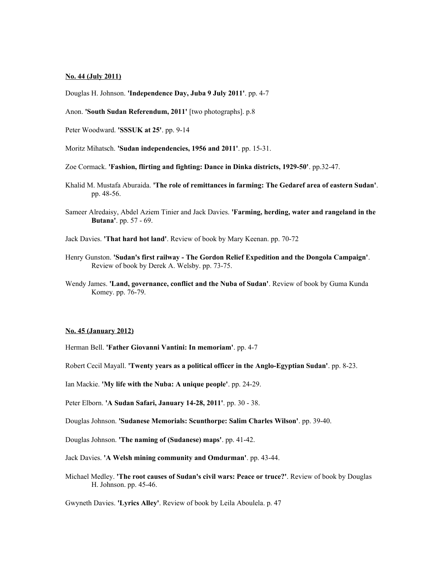# **No. 44 (July 2011)**

Douglas H. Johnson. **'Independence Day, Juba 9 July 2011'**. pp. 4-7

- Anon. **'South Sudan Referendum, 2011'** [two photographs]. p.8
- Peter Woodward. **'SSSUK at 25'**. pp. 9-14

Moritz Mihatsch. **'Sudan independencies, 1956 and 2011'**. pp. 15-31.

- Zoe Cormack. **'Fashion, flirting and fighting: Dance in Dinka districts, 1929-50'**. pp.32-47.
- Khalid M. Mustafa Aburaida. **'The role of remittances in farming: The Gedaref area of eastern Sudan'**. pp. 48-56.
- Sameer Alredaisy, Abdel Aziem Tinier and Jack Davies. **'Farming, herding, water and rangeland in the Butana'**. pp. 57 - 69.
- Jack Davies. **'That hard hot land'**. Review of book by Mary Keenan. pp. 70-72
- Henry Gunston. **'Sudan's first railway The Gordon Relief Expedition and the Dongola Campaign'**. Review of book by Derek A. Welsby. pp. 73-75.
- Wendy James. **'Land, governance, conflict and the Nuba of Sudan'**. Review of book by Guma Kunda Komey. pp. 76-79.

## **No. 45 (January 2012)**

Herman Bell. **'Father Giovanni Vantini: In memoriam'**. pp. 4-7

Robert Cecil Mayall. **'Twenty years as a political officer in the Anglo-Egyptian Sudan'**. pp. 8-23.

Ian Mackie. **'My life with the Nuba: A unique people'**. pp. 24-29.

Peter Elborn. **'A Sudan Safari, January 14-28, 2011'**. pp. 30 - 38.

Douglas Johnson. **'Sudanese Memorials: Scunthorpe: Salim Charles Wilson'**. pp. 39-40.

Douglas Johnson. **'The naming of (Sudanese) maps'**. pp. 41-42.

Jack Davies. **'A Welsh mining community and Omdurman'**. pp. 43-44.

Michael Medley. **'The root causes of Sudan's civil wars: Peace or truce?'**. Review of book by Douglas H. Johnson. pp. 45-46.

Gwyneth Davies. **'Lyrics Alley'**. Review of book by Leila Aboulela. p. 47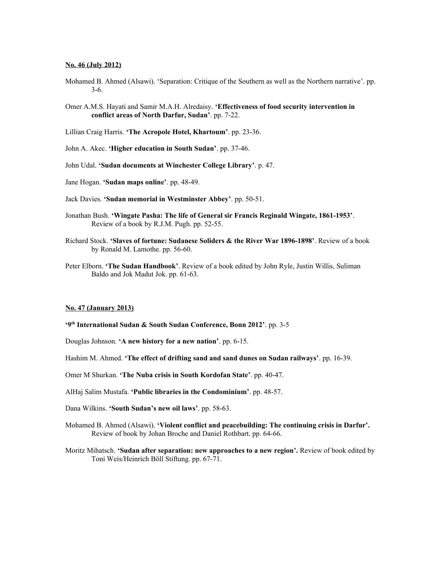#### **No. 46 (July 2012)**

- Mohamed B. Ahmed (Alsawi). 'Separation: Critique of the Southern as well as the Northern narrative'. pp. 3-6.
- Omer A.M.S. Hayati and Samir M.A.H. Alredaisy. **'Effectiveness of food security intervention in conflict areas of North Darfur, Sudan'**. pp. 7-22.
- Lillian Craig Harris. **'The Acropole Hotel, Khartoum'**. pp. 23-36.
- John A. Akec. **'Higher education in South Sudan'**. pp. 37-46.
- John Udal. **'Sudan documents at Winchester College Library'**. p. 47.
- Jane Hogan. **'Sudan maps online'**. pp. 48-49.
- Jack Davies. **'Sudan memorial in Westminster Abbey'**. pp. 50-51.
- Jonathan Bush. **'Wingate Pasha: The life of General sir Francis Reginald Wingate, 1861-1953'**. Review of a book by R.J.M. Pugh. pp. 52-55.
- Richard Stock. **'Slaves of fortune: Sudanese Soliders & the River War 1896-1898'**. Review of a book by Ronald M. Lamothe. pp. 56-60.
- Peter Elborn. **'The Sudan Handbook'**. Review of a book edited by John Ryle, Justin Willis, Suliman Baldo and Jok Madut Jok. pp. 61-63.

# **No. 47 (January 2013)**

- **'9th International Sudan & South Sudan Conference, Bonn 2012'**. pp. 3-5
- Douglas Johnson. **'A new history for a new nation'**. pp. 6-15.
- Hashim M. Ahmed. **'The effect of drifting sand and sand dunes on Sudan railways'**. pp. 16-39.
- Omer M Shurkan. **'The Nuba crisis in South Kordofan State'**. pp. 40-47.
- AlHaj Salim Mustafa. **'Public libraries in the Condominium'**. pp. 48-57.
- Dana Wilkins. **'South Sudan's new oil laws'**. pp. 58-63.
- Mohamed B. Ahmed (Alsawi). **'Violent conflict and peacebuilding: The continuing crisis in Darfur'.** Review of book by Johan Broche and Daniel Rothbart. pp. 64-66.
- Moritz Mihatsch. **'Sudan after separation: new approaches to a new region'.** Review of book edited by Toni Weis/Heinrich Böll Stiftung. pp. 67-71.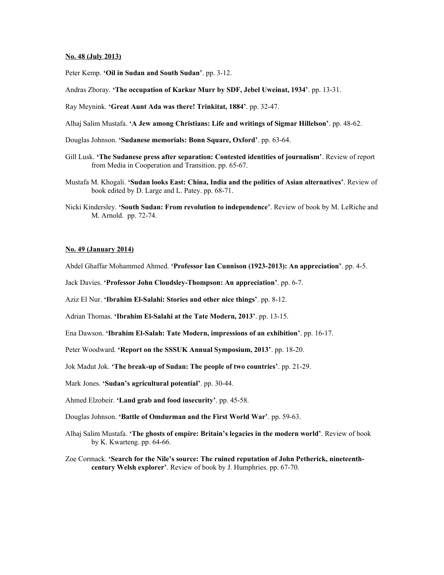# **No. 48 (July 2013)**

Peter Kemp. **'Oil in Sudan and South Sudan'**. pp. 3-12.

Andras Zboray. **'The occupation of Karkur Murr by SDF, Jebel Uweinat, 1934'**. pp. 13-31.

Ray Meynink. **'Great Aunt Ada was there! Trinkitat, 1884'**. pp. 32-47.

Alhaj Salim Mustafa. **'A Jew among Christians: Life and writings of Sigmar Hillelson'**. pp. 48-62.

Douglas Johnson. **'Sudanese memorials: Bonn Square, Oxford'**. pp. 63-64.

- Gill Lusk. **'The Sudanese press after separation: Contested identities of journalism'**. Review of report from Media in Cooperation and Transition. pp. 65-67.
- Mustafa M. Khogali. **'Sudan looks East: China, India and the politics of Asian alternatives'**. Review of book edited by D. Large and L. Patey. pp. 68-71.
- Nicki Kindersley. **'South Sudan: From revolution to independence'**. Review of book by M. LeRiche and M. Arnold. pp. 72-74.

## **No. 49 (January 2014)**

Abdel Ghaffar Mohammed Ahmed. **'Professor Ian Cunnison (1923-2013): An appreciation'**. pp. 4-5.

Jack Davies. **'Professor John Cloudsley-Thompson: An appreciation'**. pp. 6-7.

Aziz El Nur. **'Ibrahim El-Salahi: Stories and other nice things'**. pp. 8-12.

Adrian Thomas. **'Ibrahim El-Salahi at the Tate Modern, 2013'**. pp. 13-15.

Ena Dawson. **'Ibrahim El-Salah: Tate Modern, impressions of an exhibition'**. pp. 16-17.

Peter Woodward. **'Report on the SSSUK Annual Symposium, 2013'**. pp. 18-20.

Jok Madut Jok. **'The break-up of Sudan: The people of two countries'**. pp. 21-29.

Mark Jones. **'Sudan's agricultural potential'**. pp. 30-44.

Ahmed Elzobeir. **'Land grab and food insecurity'**. pp. 45-58.

Douglas Johnson. **'Battle of Omdurman and the First World War'**. pp. 59-63.

Alhaj Salim Mustafa. **'The ghosts of empire: Britain's legacies in the modern world'**. Review of book by K. Kwarteng. pp. 64-66.

Zoe Cormack. **'Search for the Nile's source: The ruined reputation of John Petherick, nineteenthcentury Welsh explorer'**. Review of book by J. Humphries. pp. 67-70.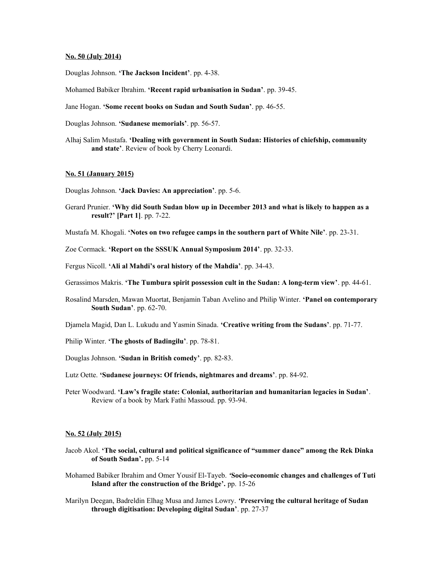# **No. 50 (July 2014)**

Douglas Johnson. **'The Jackson Incident'**. pp. 4-38.

Mohamed Babiker Ibrahim. **'Recent rapid urbanisation in Sudan'**. pp. 39-45.

Jane Hogan. **'Some recent books on Sudan and South Sudan'**. pp. 46-55.

Douglas Johnson. **'Sudanese memorials'**. pp. 56-57.

Alhaj Salim Mustafa. **'Dealing with government in South Sudan: Histories of chiefship, community and state'**. Review of book by Cherry Leonardi.

#### **No. 51 (January 2015)**

Douglas Johnson. **'Jack Davies: An appreciation'**. pp. 5-6.

- Gerard Prunier. **'Why did South Sudan blow up in December 2013 and what is likely to happen as a result?' [Part 1]**. pp. 7-22.
- Mustafa M. Khogali. **'Notes on two refugee camps in the southern part of White Nile'**. pp. 23-31.
- Zoe Cormack. **'Report on the SSSUK Annual Symposium 2014'**. pp. 32-33.
- Fergus Nicoll. **'Ali al Mahdi's oral history of the Mahdia'**. pp. 34-43.
- Gerassimos Makris. **'The Tumbura spirit possession cult in the Sudan: A long-term view'**. pp. 44-61.
- Rosalind Marsden, Mawan Muortat, Benjamin Taban Avelino and Philip Winter. **'Panel on contemporary South Sudan'**. pp. 62-70.
- Djamela Magid, Dan L. Lukudu and Yasmin Sinada. **'Creative writing from the Sudans'**. pp. 71-77.
- Philip Winter. **'The ghosts of Badingilu'**. pp. 78-81.
- Douglas Johnson. **'Sudan in British comedy'**. pp. 82-83.
- Lutz Oette. **'Sudanese journeys: Of friends, nightmares and dreams'**. pp. 84-92.
- Peter Woodward. **'Law's fragile state: Colonial, authoritarian and humanitarian legacies in Sudan'**. Review of a book by Mark Fathi Massoud. pp. 93-94.

#### **No. 52 (July 2015)**

- Jacob Akol. **'The social, cultural and political significance of "summer dance" among the Rek Dinka of South Sudan'.** pp. 5-14
- Mohamed Babiker Ibrahim and Omer Yousif El-Tayeb. *'***Socio-economic changes and challenges of Tuti Island after the construction of the Bridge'.** pp. 15-26
- Marilyn Deegan, Badreldin Elhag Musa and James Lowry. *'***Preserving the cultural heritage of Sudan through digitisation: Developing digital Sudan'**. pp. 27-37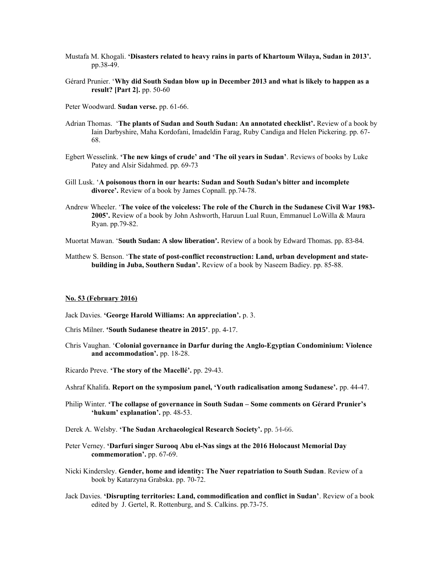- Mustafa M. Khogali. **'Disasters related to heavy rains in parts of Khartoum Wilaya, Sudan in 2013'.**  pp.38-49.
- Gerard Prunier. '**Why did South Sudan blow up in December 2013 and what is likely to happen as a result? [Part 2].** pp. 50-60
- Peter Woodward. **Sudan verse.** pp. 61-66.
- Adrian Thomas. '**The plants of Sudan and South Sudan: An annotated checklist'.** Review of a book by Iain Darbyshire, Maha Kordofani, Imadeldin Farag, Ruby Candiga and Helen Pickering. pp. 67- 68.
- Egbert Wesselink. **'The new kings of crude' and 'The oil years in Sudan'**. Reviews of books by Luke Patey and Alsir Sidahmed. pp. 69-73
- Gill Lusk. '**A poisonous thorn in our hearts: Sudan and South Sudan's bitter and incomplete divorce'.** Review of a book by James Copnall. pp.74-78.
- Andrew Wheeler. '**The voice of the voiceless: The role of the Church in the Sudanese Civil War 1983- 2005'.** Review of a book by John Ashworth, Haruun Lual Ruun, Emmanuel LoWilla & Maura Ryan. pp.79-82.

Muortat Mawan. '**South Sudan: A slow liberation'.** Review of a book by Edward Thomas. pp. 83-84.

Matthew S. Benson. '**The state of post-conflict reconstruction: Land, urban development and statebuilding in Juba, Southern Sudan'.** Review of a book by Naseem Badiey. pp. 85-88.

# **No. 53 (February 2016)**

- Jack Davies. **'George Harold Williams: An appreciation'.** p. 3.
- Chris Milner. **'South Sudanese theatre in 2015'**. pp. 4-17.
- Chris Vaughan. '**Colonial governance in Darfur during the Anglo-Egyptian Condominium: Violence and accommodation'.** pp. 18-28.
- Ricardo Preve. **'The story of the Macelle'.** pp. 29-43.
- Ashraf Khalifa. **Report on the symposium panel, 'Youth radicalisation among Sudanese'.** pp. 44-47.
- Philip Winter. **'The collapse of governance in South Sudan Some comments on Gerard Prunier's 'hukum' explanation'.** pp. 48-53.
- Derek A. Welsby. **'The Sudan Archaeological Research Society'.** pp. 54-66.
- Peter Verney. **'Darfuri singer Surooq Abu el-Nas sings at the 2016 Holocaust Memorial Day commemoration'.** pp. 67-69.
- Nicki Kindersley. **Gender, home and identity: The Nuer repatriation to South Sudan**. Review of a book by Katarzyna Grabska. pp. 70-72.
- Jack Davies. **'Disrupting territories: Land, commodification and conflict in Sudan'**. Review of a book edited by J. Gertel, R. Rottenburg, and S. Calkins. pp.73-75.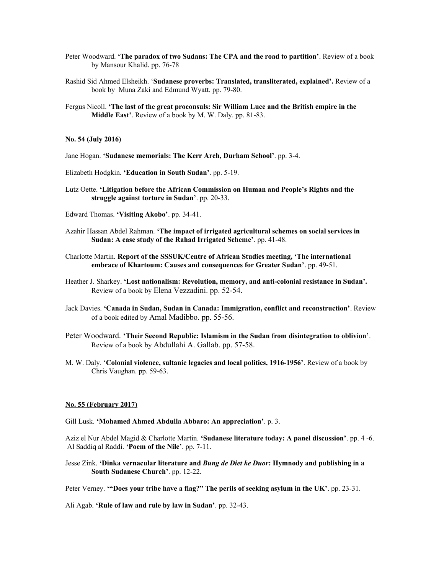- Peter Woodward. **'The paradox of two Sudans: The CPA and the road to partition'**. Review of a book by Mansour Khalid. pp. 76-78
- Rashid Sid Ahmed Elsheikh. '**Sudanese proverbs: Translated, transliterated, explained'.** Review of a book by Muna Zaki and Edmund Wyatt. pp. 79-80.
- Fergus Nicoll. **'The last of the great proconsuls: Sir William Luce and the British empire in the Middle East'**. Review of a book by M. W. Daly. pp. 81-83.

# **No. 54 (July 2016)**

- Jane Hogan. **'Sudanese memorials: The Kerr Arch, Durham School'**. pp. 3-4.
- Elizabeth Hodgkin. **'Education in South Sudan'**. pp. 5-19.
- Lutz Oette. **'Litigation before the African Commission on Human and People's Rights and the struggle against torture in Sudan'**. pp. 20-33.
- Edward Thomas. **'Visiting Akobo'**. pp. 34-41.
- Azahir Hassan Abdel Rahman. **'The impact of irrigated agricultural schemes on social services in Sudan: A case study of the Rahad Irrigated Scheme'**. pp. 41-48.
- Charlotte Martin. **Report of the SSSUK/Centre of African Studies meeting, 'The international embrace of Khartoum: Causes and consequences for Greater Sudan'**. pp. 49-51.
- Heather J. Sharkey. **'Lost nationalism: Revolution, memory, and anti-colonial resistance in Sudan'.**  Review of a book by Elena Vezzadini. pp. 52-54.
- Jack Davies. **'Canada in Sudan, Sudan in Canada: Immigration, conflict and reconstruction'**. Review of a book edited by Amal Madibbo. pp. 55-56.
- Peter Woodward. **'Their Second Republic: Islamism in the Sudan from disintegration to oblivion'**. Review of a book by Abdullahi A. Gallab. pp. 57-58.
- M. W. Daly. '**Colonial violence, sultanic legacies and local politics, 1916-1956'**. Review of a book by Chris Vaughan. pp. 59-63.

#### **No. 55 (February 2017)**

Gill Lusk. **'Mohamed Ahmed Abdulla Abbaro: An appreciation'**. p. 3.

Aziz el Nur Abdel Magid & Charlotte Martin. **'Sudanese literature today: A panel discussion'**. pp. 4 -6. Al Saddiq al Raddi. **'Poem of the Nile'**. pp. 7-11.

Jesse Zink. **'Dinka vernacular literature and** *Bung de Diet ke Duor***: Hymnody and publishing in a South Sudanese Church'**. pp. 12-22.

Peter Verney. **'"Does your tribe have a flag?" The perils of seeking asylum in the UK'**. pp. 23-31.

Ali Agab. **'Rule of law and rule by law in Sudan'**. pp. 32-43.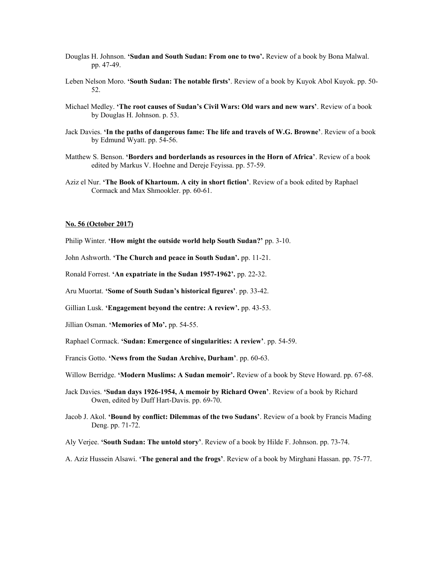- Douglas H. Johnson. **'Sudan and South Sudan: From one to two'.** Review of a book by Bona Malwal. pp. 47-49.
- Leben Nelson Moro. **'South Sudan: The notable firsts'**. Review of a book by Kuyok Abol Kuyok. pp. 50- 52.
- Michael Medley. **'The root causes of Sudan's Civil Wars: Old wars and new wars'**. Review of a book by Douglas H. Johnson. p. 53.
- Jack Davies. **'In the paths of dangerous fame: The life and travels of W.G. Browne'**. Review of a book by Edmund Wyatt. pp. 54-56.
- Matthew S. Benson. **'Borders and borderlands as resources in the Horn of Africa'**. Review of a book edited by Markus V. Hoehne and Dereje Feyissa. pp. 57-59.
- Aziz el Nur. **'The Book of Khartoum. A city in short fiction'**. Review of a book edited by Raphael Cormack and Max Shmookler. pp. 60-61.

# **No. 56 (October 2017)**

Philip Winter. **'How might the outside world help South Sudan?'** pp. 3-10.

John Ashworth. **'The Church and peace in South Sudan'.** pp. 11-21.

Ronald Forrest. **'An expatriate in the Sudan 1957-1962'.** pp. 22-32.

Aru Muortat. **'Some of South Sudan's historical figures'**. pp. 33-42.

Gillian Lusk. **'Engagement beyond the centre: A review'.** pp. 43-53.

Jillian Osman. **'Memories of Mo'.** pp. 54-55.

Raphael Cormack. **'Sudan: Emergence of singularities: A review'**. pp. 54-59.

Francis Gotto. **'News from the Sudan Archive, Durham'**. pp. 60-63.

Willow Berridge. **'Modern Muslims: A Sudan memoir'.** Review of a book by Steve Howard. pp. 67-68.

- Jack Davies. **'Sudan days 1926-1954, A memoir by Richard Owen'**. Review of a book by Richard Owen, edited by Duff Hart-Davis. pp. 69-70.
- Jacob J. Akol. **'Bound by conflict: Dilemmas of the two Sudans'**. Review of a book by Francis Mading Deng. pp. 71-72.

Aly Verjee. **'South Sudan: The untold story'**. Review of a book by Hilde F. Johnson. pp. 73-74.

A. Aziz Hussein Alsawi. **'The general and the frogs'**. Review of a book by Mirghani Hassan. pp. 75-77.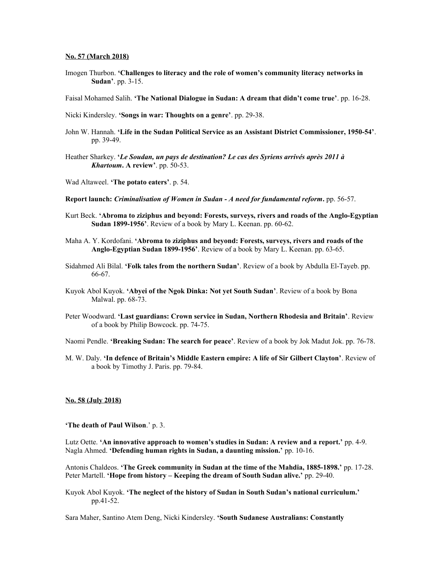## **No. 57 (March 2018)**

Imogen Thurbon. **'Challenges to literacy and the role of women's community literacy networks in Sudan'**. pp. 3-15.

Faisal Mohamed Salih. **'The National Dialogue in Sudan: A dream that didn't come true'**. pp. 16-28.

Nicki Kindersley. **'Songs in war: Thoughts on a genre'**. pp. 29-38.

- John W. Hannah. **'Life in the Sudan Political Service as an Assistant District Commissioner, 1950-54'**. pp. 39-49.
- Heather Sharkey. **'***Le Soudan, un pays de destination? Le cas des Syriens arrivés après 2011 à Khartoum***. A review'**. pp. 50-53.
- Wad Altaweel. **'The potato eaters'**. p. 54.

**Report launch:** *Criminalisation of Women in Sudan - A need for fundamental reform***.** pp. 56-57.

- Kurt Beck. **'Abroma to ziziphus and beyond: Forests, surveys, rivers and roads of the Anglo-Egyptian Sudan 1899-1956'**. Review of a book by Mary L. Keenan. pp. 60-62.
- Maha A. Y. Kordofani. **'Abroma to ziziphus and beyond: Forests, surveys, rivers and roads of the Anglo-Egyptian Sudan 1899-1956'**. Review of a book by Mary L. Keenan. pp. 63-65.
- Sidahmed Ali Bilal. **'Folk tales from the northern Sudan'**. Review of a book by Abdulla El-Tayeb. pp. 66-67.
- Kuyok Abol Kuyok. **'Abyei of the Ngok Dinka: Not yet South Sudan'**. Review of a book by Bona Malwal. pp. 68-73.
- Peter Woodward. **'Last guardians: Crown service in Sudan, Northern Rhodesia and Britain'**. Review of a book by Philip Bowcock. pp. 74-75.

Naomi Pendle. **'Breaking Sudan: The search for peace'**. Review of a book by Jok Madut Jok. pp. 76-78.

M. W. Daly. **'In defence of Britain's Middle Eastern empire: A life of Sir Gilbert Clayton'**. Review of a book by Timothy J. Paris. pp. 79-84.

#### **No. 58 (July 2018)**

**'The death of Paul Wilson**.' p. 3.

Lutz Oette. **'An innovative approach to women's studies in Sudan: A review and a report.'** pp. 4-9. Nagla Ahmed. **'Defending human rights in Sudan, a daunting mission.'** pp. 10-16.

Antonis Chaldeos. **'The Greek community in Sudan at the time of the Mahdia, 1885-1898.'** pp. 17-28. Peter Martell. **'Hope from history – Keeping the dream of South Sudan alive.'** pp. 29-40.

Kuyok Abol Kuyok. **'The neglect of the history of Sudan in South Sudan's national curriculum.'** pp.41-52.

Sara Maher, Santino Atem Deng, Nicki Kindersley. **'South Sudanese Australians: Constantly**